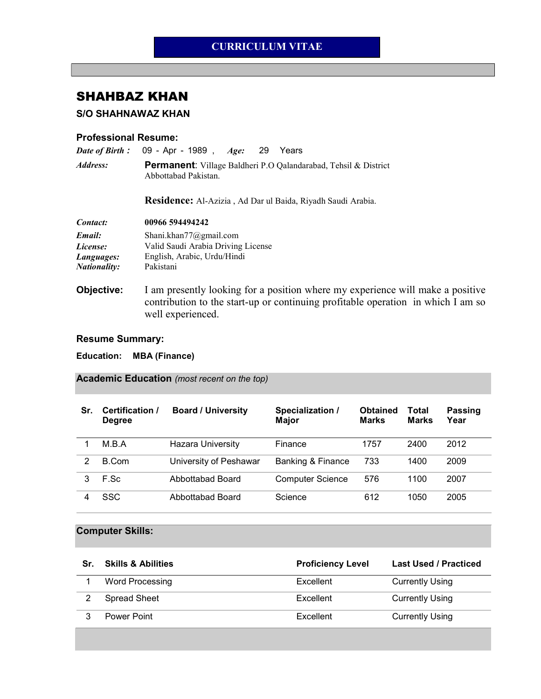## CURRICULUM VITAE

# SHAHBAZ KHAN

S/O SHAHNAWAZ KHAN

#### Professional Resume:

| Date of Birth:         | 09 - Apr - 1989, Age:<br>29<br>Years                                                                                                                                                    |  |  |  |  |
|------------------------|-----------------------------------------------------------------------------------------------------------------------------------------------------------------------------------------|--|--|--|--|
| <i><b>Address:</b></i> | <b>Permanent:</b> Village Baldheri P.O Qalandarabad, Tehsil & District<br>Abbottabad Pakistan.<br><b>Residence:</b> Al-Azizia, Ad Dar ul Baida, Riyadh Saudi Arabia.                    |  |  |  |  |
|                        |                                                                                                                                                                                         |  |  |  |  |
| Contact:               | 00966 594494242                                                                                                                                                                         |  |  |  |  |
| Email:                 | Shani.khan77@gmail.com                                                                                                                                                                  |  |  |  |  |
| License:               | Valid Saudi Arabia Driving License                                                                                                                                                      |  |  |  |  |
| Languages:             | English, Arabic, Urdu/Hindi                                                                                                                                                             |  |  |  |  |
| <b>Nationality:</b>    | Pakistani                                                                                                                                                                               |  |  |  |  |
| Objective:             | I am presently looking for a position where my experience will make a positive<br>contribution to the start-up or continuing profitable operation in which I am so<br>well experienced. |  |  |  |  |

### Resume Summary:

Education: MBA (Finance)

### Academic Education (most recent on the top)

| Sr. | Certification /<br><b>Degree</b> | <b>Board / University</b> | Specialization /<br><b>Major</b> | <b>Obtained</b><br><b>Marks</b> | Total<br><b>Marks</b> | <b>Passing</b><br>Year |
|-----|----------------------------------|---------------------------|----------------------------------|---------------------------------|-----------------------|------------------------|
|     | M.B.A                            | Hazara University         | Finance                          | 1757                            | 2400                  | 2012                   |
| 2   | B.Com                            | University of Peshawar    | Banking & Finance                | 733                             | 1400                  | 2009                   |
|     | F.Sc                             | Abbottabad Board          | <b>Computer Science</b>          | 576                             | 1100                  | 2007                   |
|     | SSC                              | Abbottabad Board          | Science                          | 612                             | 1050                  | 2005                   |

### Computer Skills:

| Sr. | <b>Skills &amp; Abilities</b> | <b>Proficiency Level</b> | <b>Last Used / Practiced</b> |
|-----|-------------------------------|--------------------------|------------------------------|
|     | Word Processing               | Excellent                | <b>Currently Using</b>       |
|     | <b>Spread Sheet</b>           | Excellent                | <b>Currently Using</b>       |
|     | Power Point                   | Excellent                | <b>Currently Using</b>       |